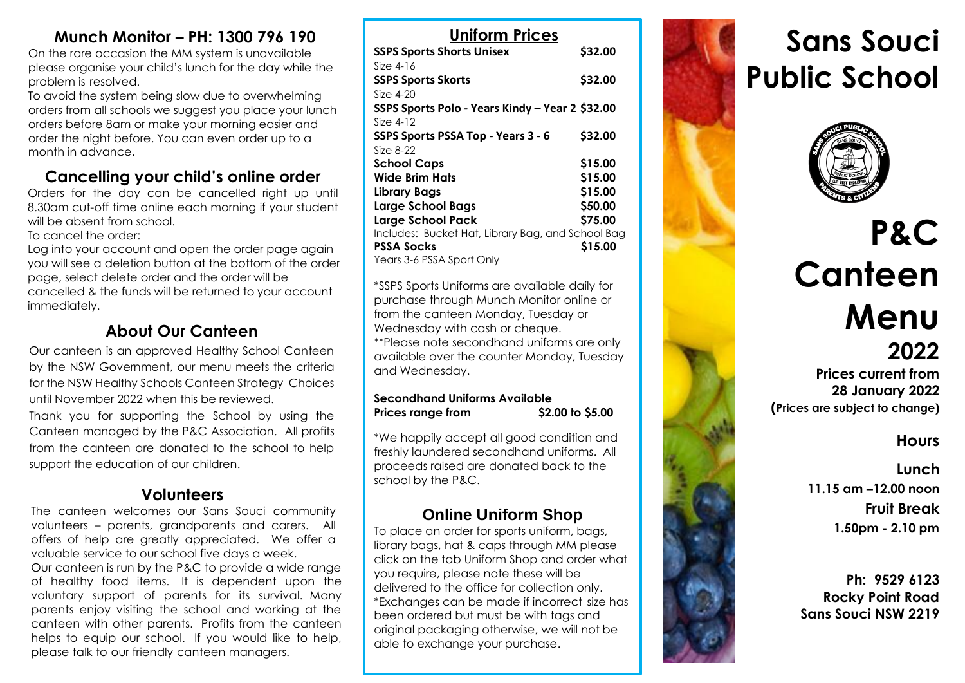# **Munch Monitor – PH: 1300 796 190**

On the rare occasion the MM system is unavailable please organise your child's lunch for the day while the problem is resolved.

To avoid the system being slow due to overwhelming orders from all schools we suggest you place your lunch orders before 8am or make your morning easier and order the night before. You can even order up to a month in advance.

# **Cancelling your child's online order**

Orders for the day can be cancelled right up until 8.30am cut-off time online each morning if your student will be absent from school.

To cancel the order:

Log into your account and open the order page again you will see a deletion button at the bottom of the order page, select delete order and the order will be cancelled & the funds will be returned to your account immediately.

# **About Our Canteen**

Our canteen is an approved Healthy School Canteen by the NSW Government, our menu meets the criteria for the NSW Healthy Schools Canteen Strategy Choices until November 2022 when this be reviewed. Thank you for supporting the School by using the

Canteen managed by the P&C Association. All profits from the canteen are donated to the school to help support the education of our children.

# **Volunteers**

The canteen welcomes our Sans Souci community volunteers – parents, grandparents and carers. All offers of help are greatly appreciated. We offer a valuable service to our school five days a week.

Our canteen is run by the P&C to provide a wide range of healthy food items. It is dependent upon the voluntary support of parents for its survival. Many parents enjoy visiting the school and working at the canteen with other parents. Profits from the canteen helps to equip our school. If you would like to help, please talk to our friendly canteen managers.

| <b>Uniform Prices</b>                             |         |
|---------------------------------------------------|---------|
| <b>SSPS Sports Shorts Unisex</b>                  | \$32.00 |
| Size $4-16$                                       |         |
| <b>SSPS Sports Skorts</b>                         | \$32.00 |
| Size $4-20$                                       |         |
| SSPS Sports Polo - Years Kindy – Year 2 \$32.00   |         |
| Size $4-12$                                       |         |
| SSPS Sports PSSA Top - Years 3 - 6                | \$32.00 |
| Size 8-22                                         |         |
| <b>School Caps</b>                                | \$15.00 |
| Wide Brim Hats                                    | \$15.00 |
| Library Bags                                      | \$15.00 |
| <b>Large School Bags</b>                          | \$50.00 |
| <b>Large School Pack</b>                          | \$75.00 |
| Includes: Bucket Hat, Library Bag, and School Bag |         |
| <b>PSSA Socks</b>                                 | \$15.00 |
| Years 3-6 PSSA Sport Only                         |         |

\*SSPS Sports Uniforms are available daily for purchase through Munch Monitor online or from the canteen Monday, Tuesday or Wednesday with cash or cheque. \*\*Please note secondhand uniforms are only available over the counter Monday, Tuesday and Wednesday.

#### **Secondhand Uniforms Available**  Prices range from \$2.00 to \$5.00

\*We happily accept all good condition and freshly laundered secondhand uniforms. All proceeds raised are donated back to the school by the P&C.

# **Online Uniform Shop**

To place an order for sports uniform, bags, library bags, hat & caps through MM please click on the tab Uniform Shop and order what you require, please note these will be delivered to the office for collection only. \*Exchanges can be made if incorrect size has been ordered but must be with tags and original packaging otherwise, we will not be able to exchange your purchase.

# **Sans Souci Public School**



# **P&C Canteen Menu 2022**

**Prices current from 28 January 2022 (Prices are subject to change)**

# **Hours**

**Lunch 11.15 am –12.00 noon Fruit Break 1.50pm - 2.10 pm**

**Ph: 9529 6123 Rocky Point Road Sans Souci NSW 2219**